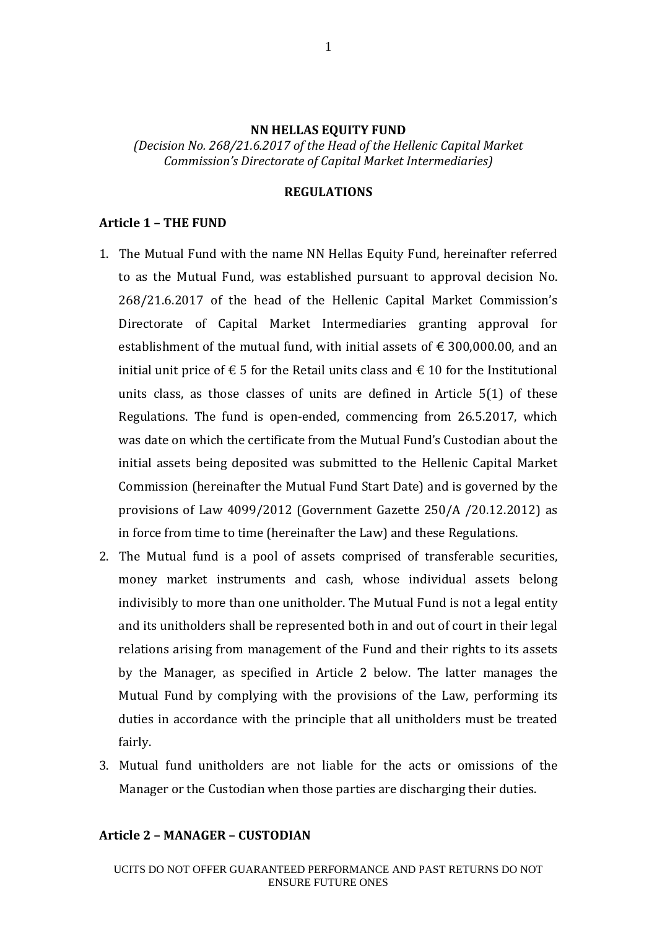### **NN HELLAS EQUITY FUND**

*(Decision No. 268/21.6.2017 of the Head of the Hellenic Capital Market Commission's Directorate of Capital Market Intermediaries)*

### **REGULATIONS**

### **Article 1 – THE FUND**

- 1. The Mutual Fund with the name NN Hellas Equity Fund, hereinafter referred to as the Mutual Fund, was established pursuant to approval decision No. 268/21.6.2017 of the head of the Hellenic Capital Market Commission's Directorate of Capital Market Intermediaries granting approval for establishment of the mutual fund, with initial assets of  $\epsilon$  300,000.00, and an initial unit price of € 5 for the Retail units class and € 10 for the Institutional units class, as those classes of units are defined in Article 5(1) of these Regulations. The fund is open-ended, commencing from 26.5.2017, which was date on which the certificate from the Mutual Fund's Custodian about the initial assets being deposited was submitted to the Hellenic Capital Market Commission (hereinafter the Mutual Fund Start Date) and is governed by the provisions of Law 4099/2012 (Government Gazette 250/A /20.12.2012) as in force from time to time (hereinafter the Law) and these Regulations.
- 2. The Mutual fund is a pool of assets comprised of transferable securities, money market instruments and cash, whose individual assets belong indivisibly to more than one unitholder. The Mutual Fund is not a legal entity and its unitholders shall be represented both in and out of court in their legal relations arising from management of the Fund and their rights to its assets by the Manager, as specified in Article 2 below. The latter manages the Mutual Fund by complying with the provisions of the Law, performing its duties in accordance with the principle that all unitholders must be treated fairly.
- 3. Mutual fund unitholders are not liable for the acts or omissions of the Manager or the Custodian when those parties are discharging their duties.

#### **Article 2 – MANAGER – CUSTODIAN**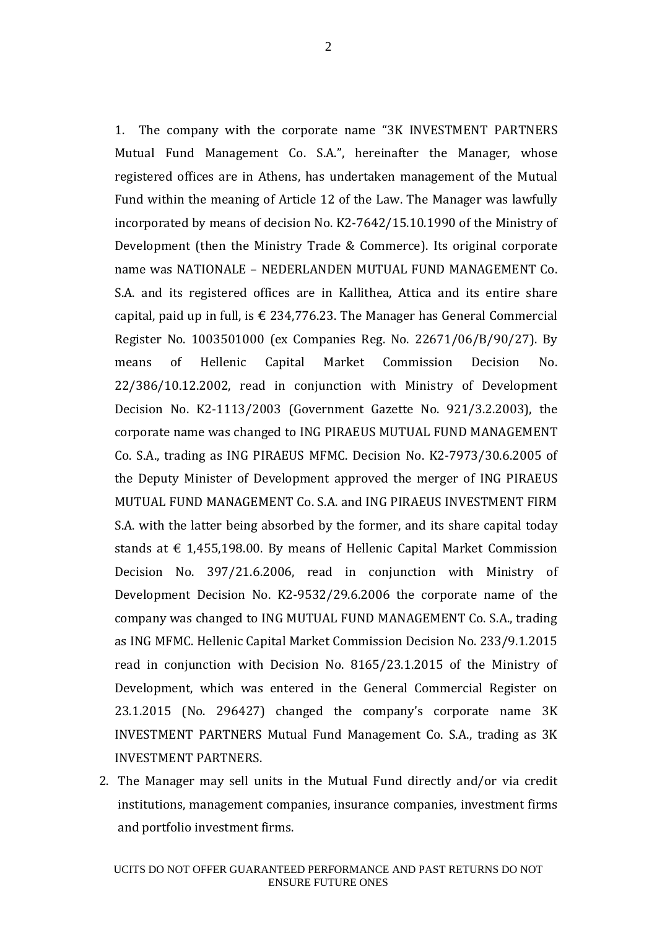1. The company with the corporate name "3K INVESTMENT PARTNERS Mutual Fund Management Co. S.A.", hereinafter the Manager, whose registered offices are in Athens, has undertaken management of the Mutual Fund within the meaning of Article 12 of the Law. The Manager was lawfully incorporated by means of decision No. Κ2-7642/15.10.1990 of the Ministry of Development (then the Ministry Trade & Commerce). Its original corporate name was NATIONALE – NEDERLANDEN MUTUAL FUND MANAGEMENT Co. S.A. and its registered offices are in Kallithea, Attica and its entire share capital, paid up in full, is  $\epsilon$  234,776.23. The Manager has General Commercial Register No. 1003501000 (ex Companies Reg. No. 22671/06/Β/90/27). By means of Hellenic Capital Market Commission Decision No. 22/386/10.12.2002, read in conjunction with Ministry of Development Decision No. Κ2-1113/2003 (Government Gazette No. 921/3.2.2003), the corporate name was changed to ING PIRAEUS MUTUAL FUND MANAGEMENT Co. S.A., trading as ING PIRAEUS MFMC. Decision No. Κ2-7973/30.6.2005 of the Deputy Minister of Development approved the merger of ING PIRAEUS MUTUAL FUND MANAGEMENT Co. S.A. and ING PIRAEUS INVESTMENT FIRM S.A. with the latter being absorbed by the former, and its share capital today stands at  $\epsilon$  1,455,198.00. By means of Hellenic Capital Market Commission Decision No. 397/21.6.2006, read in conjunction with Ministry of Development Decision No. K2-9532/29.6.2006 the corporate name of the company was changed to ING MUTUAL FUND MANAGEMENT Co. S.A., trading as ING MFMC. Hellenic Capital Market Commission Decision No. 233/9.1.2015 read in conjunction with Decision No. 8165/23.1.2015 of the Ministry of Development, which was entered in the General Commercial Register on 23.1.2015 (No. 296427) changed the company's corporate name 3K INVESTMENT PARTNERS Mutual Fund Management Co. S.A., trading as 3K INVESTMENT PARTNERS.

2. The Manager may sell units in the Mutual Fund directly and/or via credit institutions, management companies, insurance companies, investment firms and portfolio investment firms.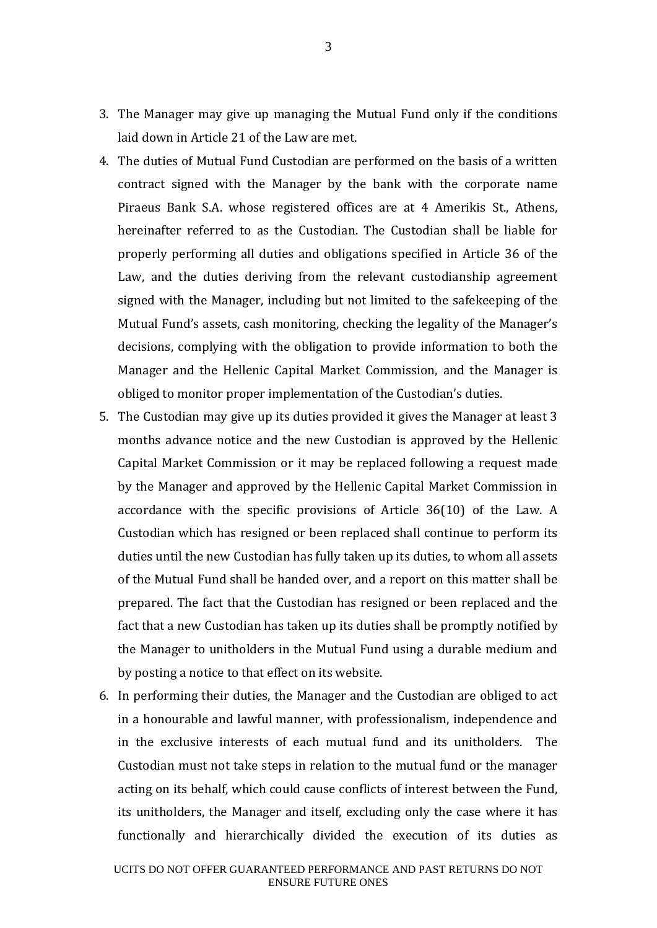- 3. The Manager may give up managing the Mutual Fund only if the conditions laid down in Article 21 of the Law are met.
- 4. The duties of Mutual Fund Custodian are performed on the basis of a written contract signed with the Manager by the bank with the corporate name Piraeus Bank S.A. whose registered offices are at 4 Amerikis St., Athens, hereinafter referred to as the Custodian. The Custodian shall be liable for properly performing all duties and obligations specified in Article 36 of the Law, and the duties deriving from the relevant custodianship agreement signed with the Manager, including but not limited to the safekeeping of the Mutual Fund's assets, cash monitoring, checking the legality of the Manager's decisions, complying with the obligation to provide information to both the Manager and the Hellenic Capital Market Commission, and the Manager is obliged to monitor proper implementation of the Custodian's duties.
- 5. The Custodian may give up its duties provided it gives the Manager at least 3 months advance notice and the new Custodian is approved by the Hellenic Capital Market Commission or it may be replaced following a request made by the Manager and approved by the Hellenic Capital Market Commission in accordance with the specific provisions of Article 36(10) of the Law. A Custodian which has resigned or been replaced shall continue to perform its duties until the new Custodian has fully taken up its duties, to whom all assets of the Mutual Fund shall be handed over, and a report on this matter shall be prepared. The fact that the Custodian has resigned or been replaced and the fact that a new Custodian has taken up its duties shall be promptly notified by the Manager to unitholders in the Mutual Fund using a durable medium and by posting a notice to that effect on its website.
- 6. In performing their duties, the Manager and the Custodian are obliged to act in a honourable and lawful manner, with professionalism, independence and in the exclusive interests of each mutual fund and its unitholders. The Custodian must not take steps in relation to the mutual fund or the manager acting on its behalf, which could cause conflicts of interest between the Fund, its unitholders, the Manager and itself, excluding only the case where it has functionally and hierarchically divided the execution of its duties as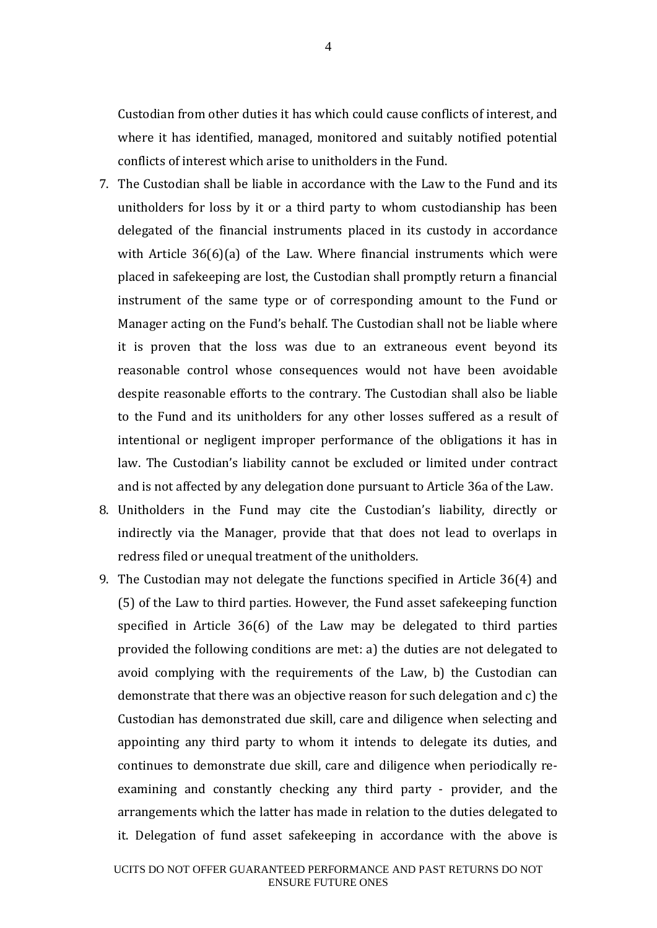Custodian from other duties it has which could cause conflicts of interest, and where it has identified, managed, monitored and suitably notified potential conflicts of interest which arise to unitholders in the Fund.

- 7. The Custodian shall be liable in accordance with the Law to the Fund and its unitholders for loss by it or a third party to whom custodianship has been delegated of the financial instruments placed in its custody in accordance with Article 36(6)(a) of the Law. Where financial instruments which were placed in safekeeping are lost, the Custodian shall promptly return a financial instrument of the same type or of corresponding amount to the Fund or Manager acting on the Fund's behalf. The Custodian shall not be liable where it is proven that the loss was due to an extraneous event beyond its reasonable control whose consequences would not have been avoidable despite reasonable efforts to the contrary. The Custodian shall also be liable to the Fund and its unitholders for any other losses suffered as a result of intentional or negligent improper performance of the obligations it has in law. The Custodian's liability cannot be excluded or limited under contract and is not affected by any delegation done pursuant to Article 36a of the Law.
- 8. Unitholders in the Fund may cite the Custodian's liability, directly or indirectly via the Manager, provide that that does not lead to overlaps in redress filed or unequal treatment of the unitholders.
- 9. The Custodian may not delegate the functions specified in Article 36(4) and (5) of the Law to third parties. However, the Fund asset safekeeping function specified in Article 36(6) of the Law may be delegated to third parties provided the following conditions are met: a) the duties are not delegated to avoid complying with the requirements of the Law, b) the Custodian can demonstrate that there was an objective reason for such delegation and c) the Custodian has demonstrated due skill, care and diligence when selecting and appointing any third party to whom it intends to delegate its duties, and continues to demonstrate due skill, care and diligence when periodically reexamining and constantly checking any third party - provider, and the arrangements which the latter has made in relation to the duties delegated to it. Delegation of fund asset safekeeping in accordance with the above is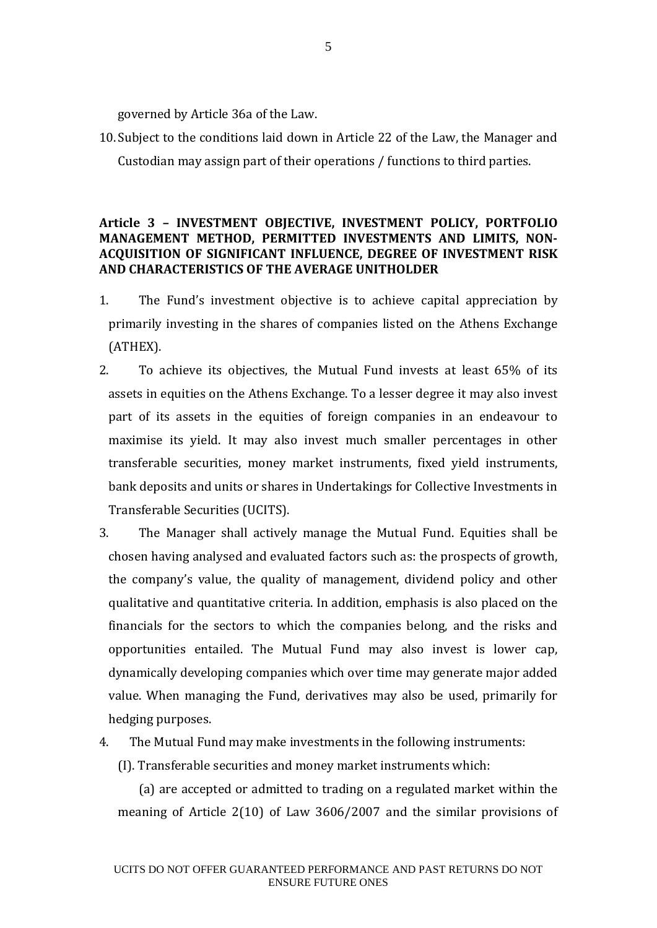governed by Article 36a of the Law.

10. Subject to the conditions laid down in Article 22 of the Law, the Manager and Custodian may assign part of their operations / functions to third parties.

## **Article 3 – INVESTMENT OBJECTIVE, INVESTMENT POLICY, PORTFOLIO MANAGEMENT METHOD, PERMITTED INVESTMENTS AND LIMITS, NON-ACQUISITION OF SIGNIFICANT INFLUENCE, DEGREE OF INVESTMENT RISK AND CHARACTERISTICS OF THE AVERAGE UNITHOLDER**

- 1. The Fund's investment objective is to achieve capital appreciation by primarily investing in the shares of companies listed on the Athens Exchange (ATHEX).
- 2. To achieve its objectives, the Mutual Fund invests at least 65% of its assets in equities on the Athens Exchange. To a lesser degree it may also invest part of its assets in the equities of foreign companies in an endeavour to maximise its yield. It may also invest much smaller percentages in other transferable securities, money market instruments, fixed yield instruments, bank deposits and units or shares in Undertakings for Collective Investments in Transferable Securities (UCITS).
- 3. The Manager shall actively manage the Mutual Fund. Equities shall be chosen having analysed and evaluated factors such as: the prospects of growth, the company's value, the quality of management, dividend policy and other qualitative and quantitative criteria. In addition, emphasis is also placed on the financials for the sectors to which the companies belong, and the risks and opportunities entailed. The Mutual Fund may also invest is lower cap, dynamically developing companies which over time may generate major added value. When managing the Fund, derivatives may also be used, primarily for hedging purposes.
- 4. The Mutual Fund may make investments in the following instruments:
	- (I). Transferable securities and money market instruments which:

(a) are accepted or admitted to trading on a regulated market within the meaning of Article 2(10) of Law 3606/2007 and the similar provisions of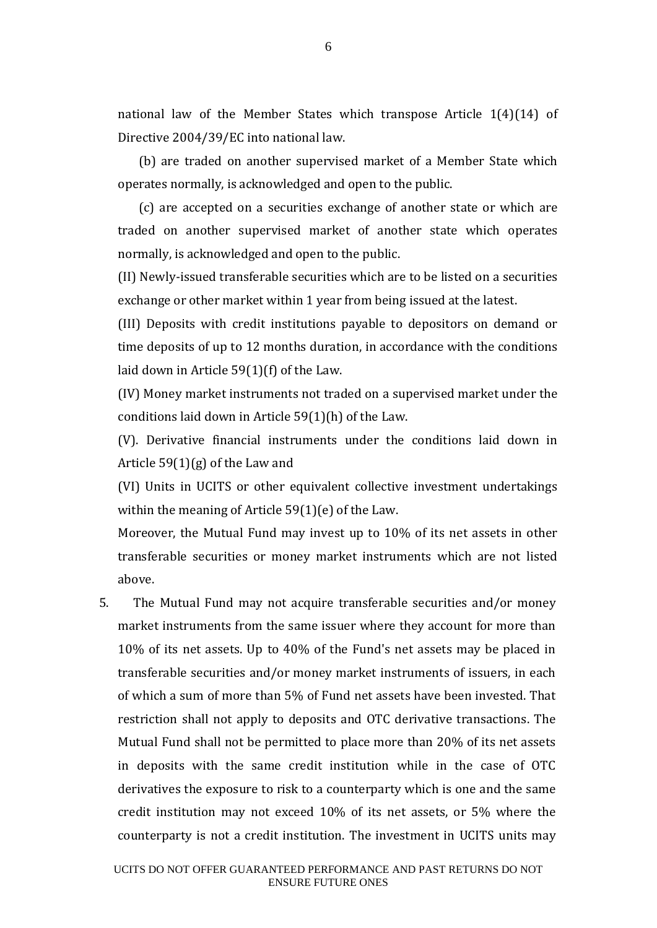national law of the Member States which transpose Article  $1(4)(14)$  of Directive 2004/39/EC into national law.

(b) are traded on another supervised market of a Member State which operates normally, is acknowledged and open to the public.

(c) are accepted on a securities exchange of another state or which are traded on another supervised market of another state which operates normally, is acknowledged and open to the public.

(II) Newly-issued transferable securities which are to be listed on a securities exchange or other market within 1 year from being issued at the latest.

(III) Deposits with credit institutions payable to depositors on demand or time deposits of up to 12 months duration, in accordance with the conditions laid down in Article 59(1)(f) of the Law.

(IV) Money market instruments not traded on a supervised market under the conditions laid down in Article 59(1)(h) of the Law.

(V). Derivative financial instruments under the conditions laid down in Article 59(1)(g) of the Law and

(VI) Units in UCITS or other equivalent collective investment undertakings within the meaning of Article 59(1)(e) of the Law.

Moreover, the Mutual Fund may invest up to 10% of its net assets in other transferable securities or money market instruments which are not listed above.

5. The Mutual Fund may not acquire transferable securities and/or money market instruments from the same issuer where they account for more than 10% of its net assets. Up to 40% of the Fund's net assets may be placed in transferable securities and/or money market instruments of issuers, in each of which a sum of more than 5% of Fund net assets have been invested. That restriction shall not apply to deposits and OTC derivative transactions. The Mutual Fund shall not be permitted to place more than 20% of its net assets in deposits with the same credit institution while in the case of OTC derivatives the exposure to risk to a counterparty which is one and the same credit institution may not exceed 10% of its net assets, or 5% where the counterparty is not a credit institution. The investment in UCITS units may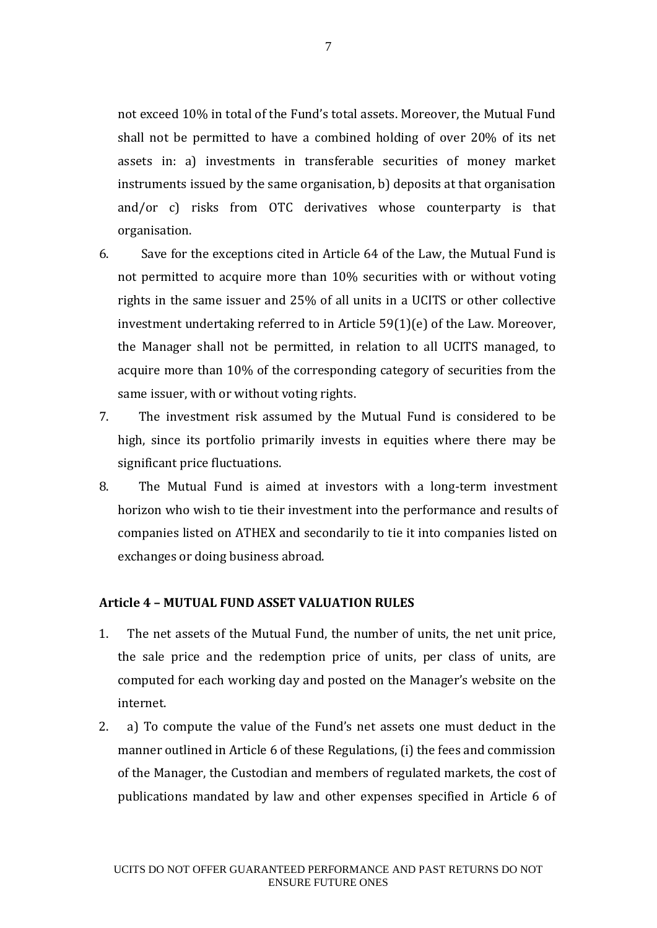not exceed 10% in total of the Fund's total assets. Moreover, the Mutual Fund shall not be permitted to have a combined holding of over 20% of its net assets in: a) investments in transferable securities of money market instruments issued by the same organisation, b) deposits at that organisation and/or c) risks from OTC derivatives whose counterparty is that organisation.

- 6. Save for the exceptions cited in Article 64 of the Law, the Mutual Fund is not permitted to acquire more than 10% securities with or without voting rights in the same issuer and 25% of all units in a UCITS or other collective investment undertaking referred to in Article 59(1)(e) of the Law. Moreover, the Manager shall not be permitted, in relation to all UCITS managed, to acquire more than 10% of the corresponding category of securities from the same issuer, with or without voting rights.
- 7. The investment risk assumed by the Mutual Fund is considered to be high, since its portfolio primarily invests in equities where there may be significant price fluctuations.
- 8. The Mutual Fund is aimed at investors with a long-term investment horizon who wish to tie their investment into the performance and results of companies listed on ATHEX and secondarily to tie it into companies listed on exchanges or doing business abroad.

### **Article 4 – MUTUAL FUND ASSET VALUATION RULES**

- 1. The net assets of the Mutual Fund, the number of units, the net unit price, the sale price and the redemption price of units, per class of units, are computed for each working day and posted on the Manager's website on the internet.
- 2. a) To compute the value of the Fund's net assets one must deduct in the manner outlined in Article 6 of these Regulations, (i) the fees and commission of the Manager, the Custodian and members of regulated markets, the cost of publications mandated by law and other expenses specified in Article 6 of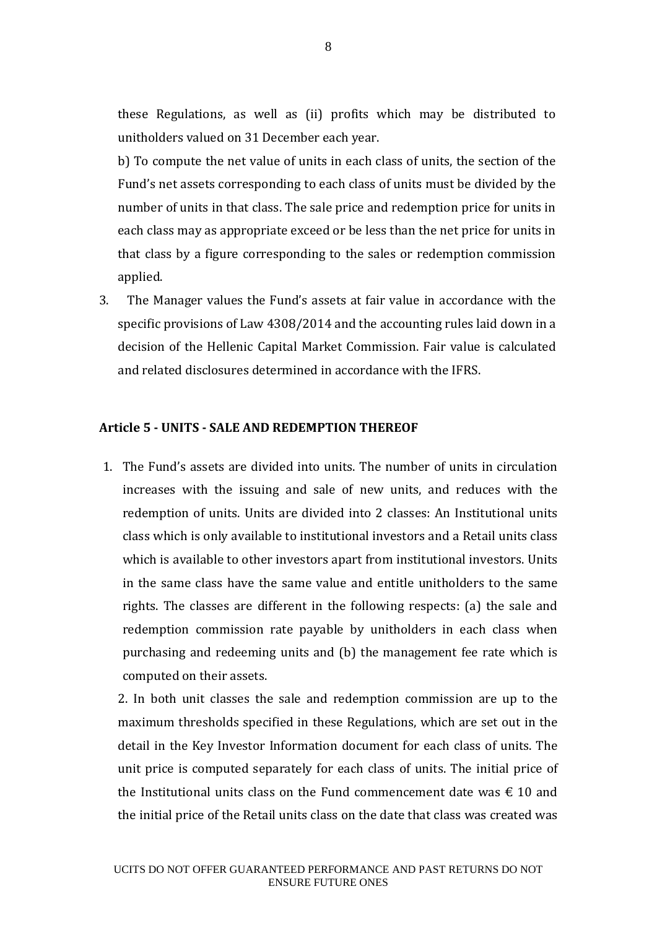these Regulations, as well as (ii) profits which may be distributed to unitholders valued on 31 December each year.

b) To compute the net value of units in each class of units, the section of the Fund's net assets corresponding to each class of units must be divided by the number of units in that class. The sale price and redemption price for units in each class may as appropriate exceed or be less than the net price for units in that class by a figure corresponding to the sales or redemption commission applied.

3. The Manager values the Fund's assets at fair value in accordance with the specific provisions of Law 4308/2014 and the accounting rules laid down in a decision of the Hellenic Capital Market Commission. Fair value is calculated and related disclosures determined in accordance with the IFRS.

### **Article 5 - UNITS - SALE AND REDEMPTION THEREOF**

1. The Fund's assets are divided into units. The number of units in circulation increases with the issuing and sale of new units, and reduces with the redemption of units. Units are divided into 2 classes: An Institutional units class which is only available to institutional investors and a Retail units class which is available to other investors apart from institutional investors. Units in the same class have the same value and entitle unitholders to the same rights. The classes are different in the following respects: (a) the sale and redemption commission rate payable by unitholders in each class when purchasing and redeeming units and (b) the management fee rate which is computed on their assets.

2. In both unit classes the sale and redemption commission are up to the maximum thresholds specified in these Regulations, which are set out in the detail in the Key Investor Information document for each class of units. The unit price is computed separately for each class of units. The initial price of the Institutional units class on the Fund commencement date was  $\epsilon$  10 and the initial price of the Retail units class on the date that class was created was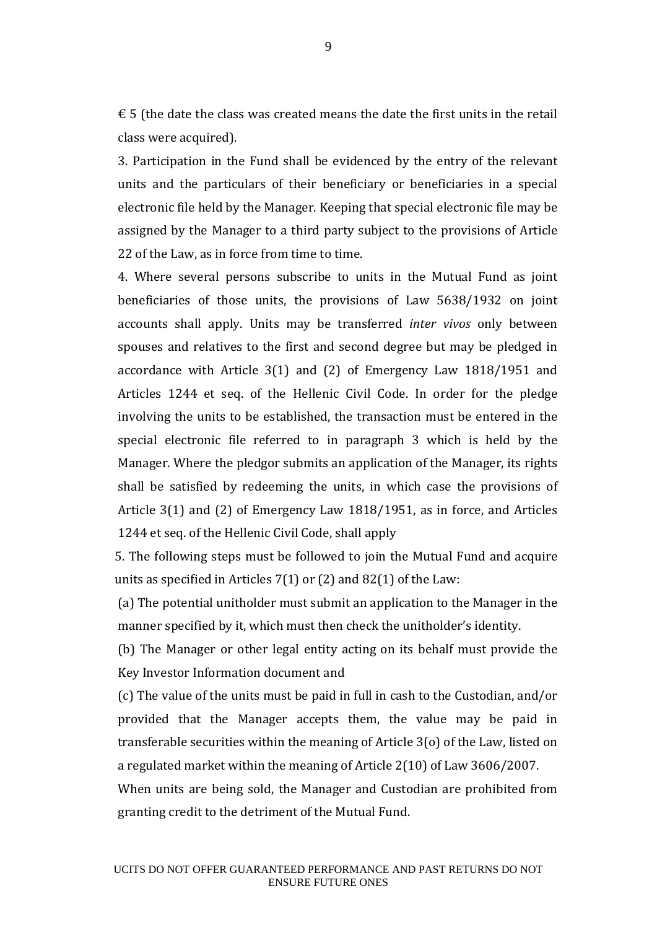$\epsilon$  5 (the date the class was created means the date the first units in the retail class were acquired).

3. Participation in the Fund shall be evidenced by the entry of the relevant units and the particulars of their beneficiary or beneficiaries in a special electronic file held by the Manager. Keeping that special electronic file may be assigned by the Manager to a third party subject to the provisions of Article 22 of the Law, as in force from time to time.

4. Where several persons subscribe to units in the Mutual Fund as joint beneficiaries of those units, the provisions of Law 5638/1932 on joint accounts shall apply. Units may be transferred *inter vivos* only between spouses and relatives to the first and second degree but may be pledged in accordance with Article 3(1) and (2) of Emergency Law 1818/1951 and Articles 1244 et seq. of the Hellenic Civil Code. In order for the pledge involving the units to be established, the transaction must be entered in the special electronic file referred to in paragraph 3 which is held by the Manager. Where the pledgor submits an application of the Manager, its rights shall be satisfied by redeeming the units, in which case the provisions of Article 3(1) and (2) of Emergency Law 1818/1951, as in force, and Articles 1244 et seq. of the Hellenic Civil Code, shall apply

5. The following steps must be followed to join the Mutual Fund and acquire units as specified in Articles  $7(1)$  or  $(2)$  and  $82(1)$  of the Law:

(a) The potential unitholder must submit an application to the Manager in the manner specified by it, which must then check the unitholder's identity.

(b) The Manager or other legal entity acting on its behalf must provide the Key Investor Information document and

(c) The value of the units must be paid in full in cash to the Custodian, and/or provided that the Manager accepts them, the value may be paid in transferable securities within the meaning of Article 3(o) of the Law, listed on a regulated market within the meaning of Article 2(10) of Law 3606/2007.

When units are being sold, the Manager and Custodian are prohibited from granting credit to the detriment of the Mutual Fund.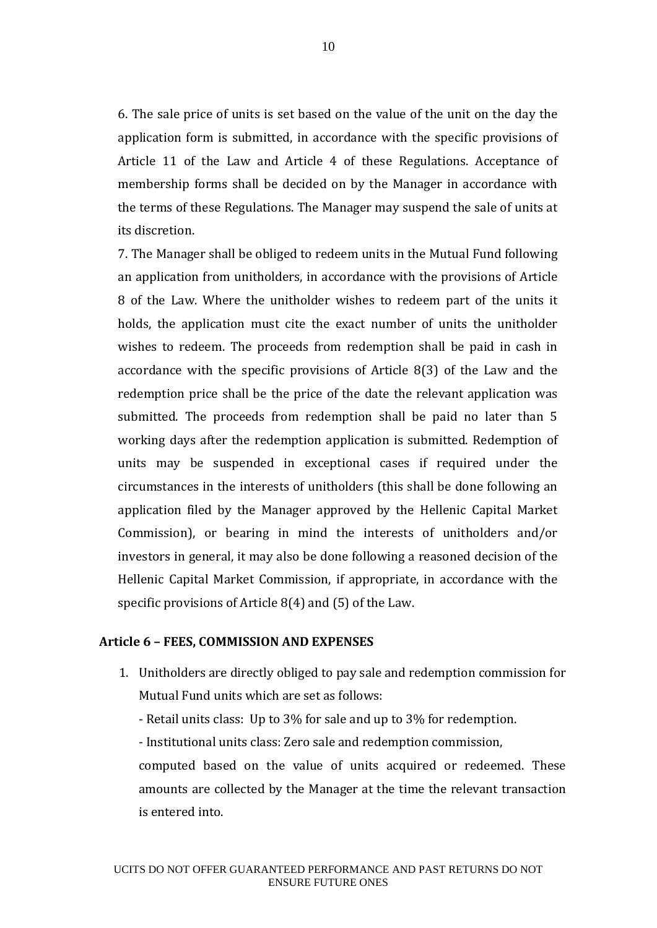6. The sale price of units is set based on the value of the unit on the day the application form is submitted, in accordance with the specific provisions of Article 11 of the Law and Article 4 of these Regulations. Acceptance of membership forms shall be decided on by the Manager in accordance with the terms of these Regulations. The Manager may suspend the sale of units at its discretion.

7. The Manager shall be obliged to redeem units in the Mutual Fund following an application from unitholders, in accordance with the provisions of Article 8 of the Law. Where the unitholder wishes to redeem part of the units it holds, the application must cite the exact number of units the unitholder wishes to redeem. The proceeds from redemption shall be paid in cash in accordance with the specific provisions of Article 8(3) of the Law and the redemption price shall be the price of the date the relevant application was submitted. The proceeds from redemption shall be paid no later than 5 working days after the redemption application is submitted. Redemption of units may be suspended in exceptional cases if required under the circumstances in the interests of unitholders (this shall be done following an application filed by the Manager approved by the Hellenic Capital Market Commission), or bearing in mind the interests of unitholders and/or investors in general, it may also be done following a reasoned decision of the Hellenic Capital Market Commission, if appropriate, in accordance with the specific provisions of Article 8(4) and (5) of the Law.

### **Article 6 – FEES, COMMISSION AND EXPENSES**

- 1. Unitholders are directly obliged to pay sale and redemption commission for Mutual Fund units which are set as follows:
	- Retail units class: Up to 3% for sale and up to 3% for redemption.

- Institutional units class: Zero sale and redemption commission,

computed based on the value of units acquired or redeemed. These amounts are collected by the Manager at the time the relevant transaction is entered into.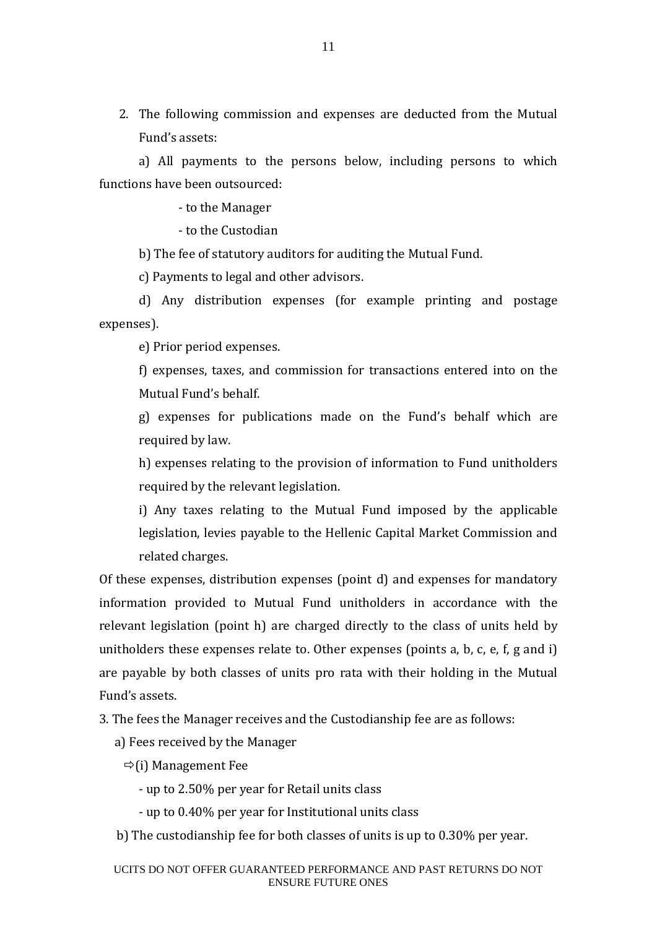2. The following commission and expenses are deducted from the Mutual Fund's assets:

a) All payments to the persons below, including persons to which functions have been outsourced:

- to the Manager

- to the Custodian

b) The fee of statutory auditors for auditing the Mutual Fund.

c) Payments to legal and other advisors.

d) Any distribution expenses (for example printing and postage expenses).

e) Prior period expenses.

f) expenses, taxes, and commission for transactions entered into on the Mutual Fund's behalf.

g) expenses for publications made on the Fund's behalf which are required by law.

h) expenses relating to the provision of information to Fund unitholders required by the relevant legislation.

i) Any taxes relating to the Mutual Fund imposed by the applicable legislation, levies payable to the Hellenic Capital Market Commission and related charges.

Of these expenses, distribution expenses (point d) and expenses for mandatory information provided to Mutual Fund unitholders in accordance with the relevant legislation (point h) are charged directly to the class of units held by unitholders these expenses relate to. Other expenses (points a, b, c, e, f, g and i) are payable by both classes of units pro rata with their holding in the Mutual Fund's assets.

3. The fees the Manager receives and the Custodianship fee are as follows:

a) Fees received by the Manager

 $\Rightarrow$ (i) Management Fee

- up to 2.50% per year for Retail units class

- up to 0.40% per year for Institutional units class

b) The custodianship fee for both classes of units is up to 0.30% per year.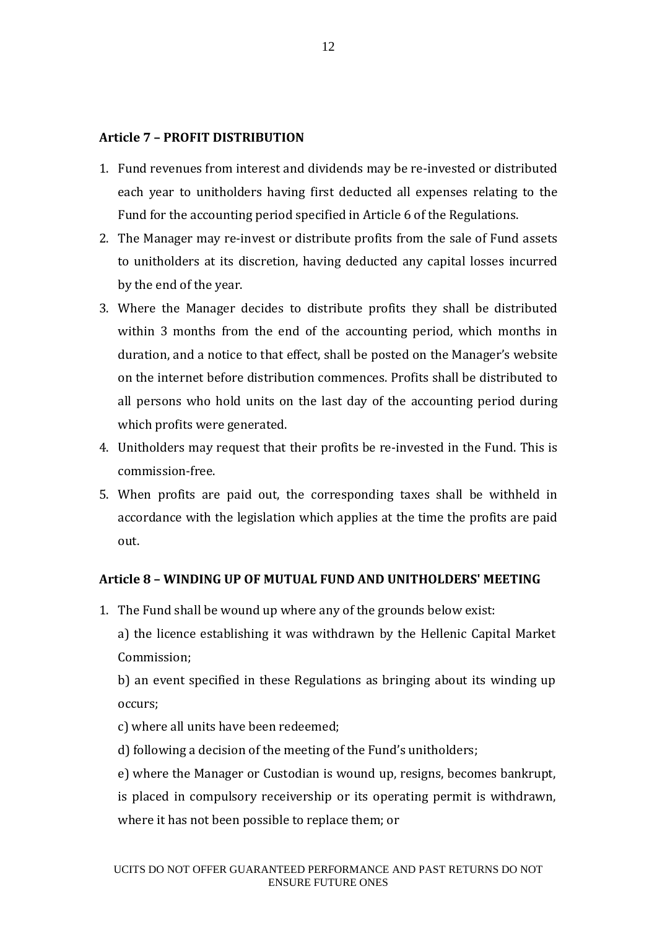# **Article 7 – PROFIT DISTRIBUTION**

- 1. Fund revenues from interest and dividends may be re-invested or distributed each year to unitholders having first deducted all expenses relating to the Fund for the accounting period specified in Article 6 of the Regulations.
- 2. The Manager may re-invest or distribute profits from the sale of Fund assets to unitholders at its discretion, having deducted any capital losses incurred by the end of the year.
- 3. Where the Manager decides to distribute profits they shall be distributed within 3 months from the end of the accounting period, which months in duration, and a notice to that effect, shall be posted on the Manager's website on the internet before distribution commences. Profits shall be distributed to all persons who hold units on the last day of the accounting period during which profits were generated.
- 4. Unitholders may request that their profits be re-invested in the Fund. This is commission-free.
- 5. When profits are paid out, the corresponding taxes shall be withheld in accordance with the legislation which applies at the time the profits are paid out.

## **Article 8 – WINDING UP OF MUTUAL FUND AND UNITHOLDERS' MEETING**

1. The Fund shall be wound up where any of the grounds below exist: a) the licence establishing it was withdrawn by the Hellenic Capital Market Commission;

b) an event specified in these Regulations as bringing about its winding up occurs;

c) where all units have been redeemed;

d) following a decision of the meeting of the Fund's unitholders;

e) where the Manager or Custodian is wound up, resigns, becomes bankrupt, is placed in compulsory receivership or its operating permit is withdrawn, where it has not been possible to replace them; or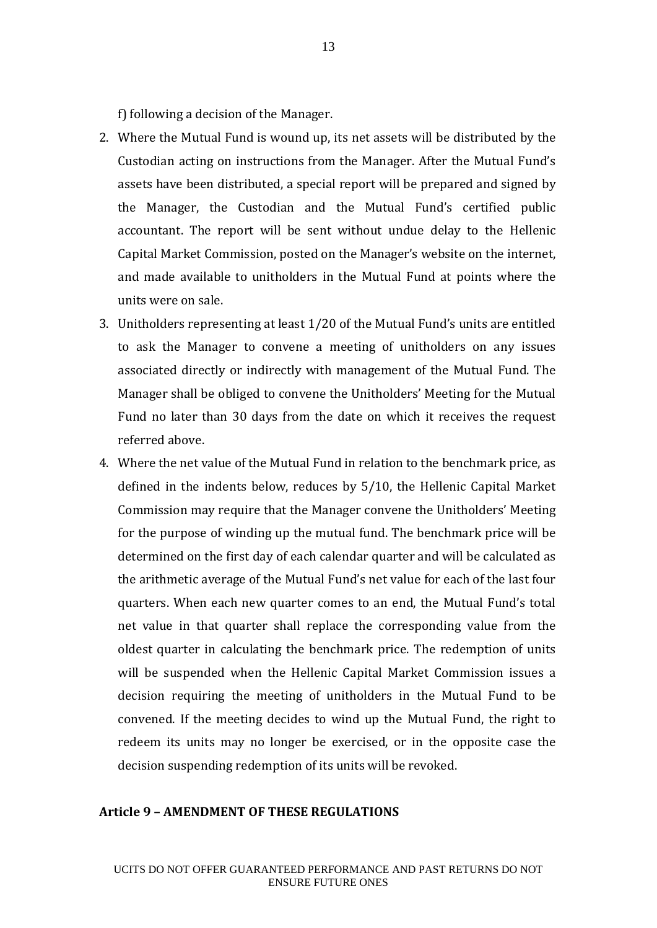f) following a decision of the Manager.

- 2. Where the Mutual Fund is wound up, its net assets will be distributed by the Custodian acting on instructions from the Manager. After the Mutual Fund's assets have been distributed, a special report will be prepared and signed by the Manager, the Custodian and the Mutual Fund's certified public accountant. The report will be sent without undue delay to the Hellenic Capital Market Commission, posted on the Manager's website on the internet, and made available to unitholders in the Mutual Fund at points where the units were on sale.
- 3. Unitholders representing at least 1/20 of the Mutual Fund's units are entitled to ask the Manager to convene a meeting of unitholders on any issues associated directly or indirectly with management of the Mutual Fund. The Manager shall be obliged to convene the Unitholders' Meeting for the Mutual Fund no later than 30 days from the date on which it receives the request referred above.
- 4. Where the net value of the Mutual Fund in relation to the benchmark price, as defined in the indents below, reduces by 5/10, the Hellenic Capital Market Commission may require that the Manager convene the Unitholders' Meeting for the purpose of winding up the mutual fund. The benchmark price will be determined on the first day of each calendar quarter and will be calculated as the arithmetic average of the Mutual Fund's net value for each of the last four quarters. When each new quarter comes to an end, the Mutual Fund's total net value in that quarter shall replace the corresponding value from the oldest quarter in calculating the benchmark price. The redemption of units will be suspended when the Hellenic Capital Market Commission issues a decision requiring the meeting of unitholders in the Mutual Fund to be convened. If the meeting decides to wind up the Mutual Fund, the right to redeem its units may no longer be exercised, or in the opposite case the decision suspending redemption of its units will be revoked.

# **Article 9 – AMENDMENT OF THESE REGULATIONS**